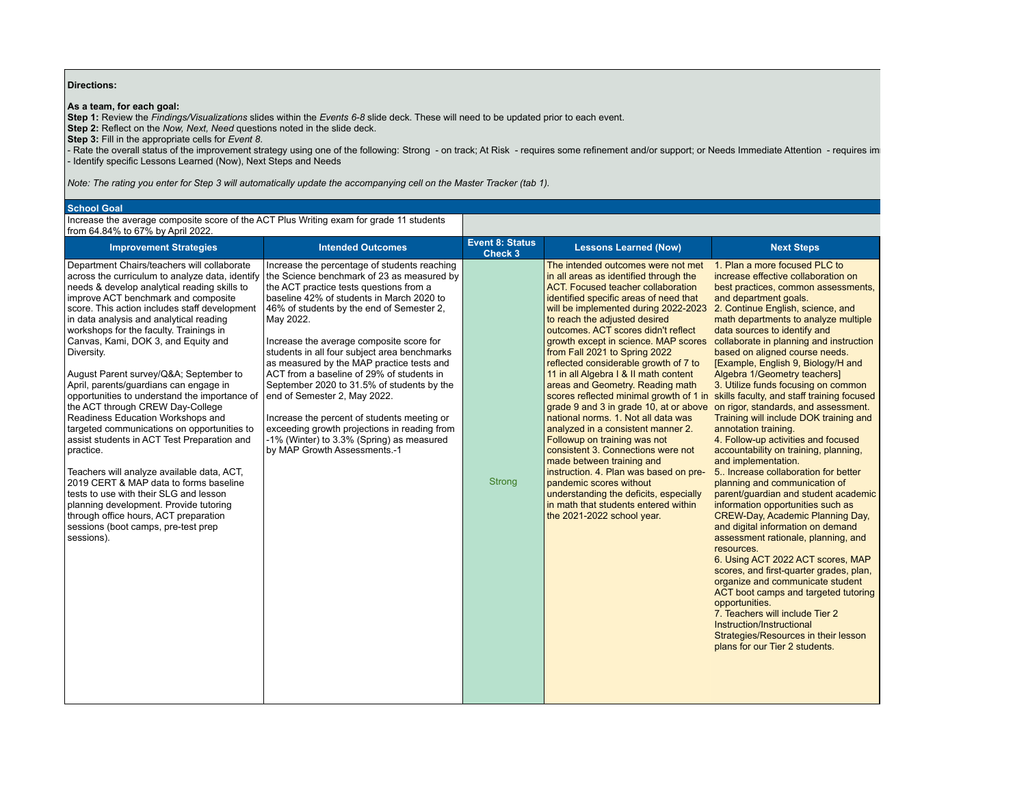## **Directions:**

**As a team, for each goal:**

**Step 1:** Review the *Findings/Visualizations* slides within the *Events 6-8* slide deck. These will need to be updated prior to each event.

**Step 2:** Reflect on the *Now, Next, Need* questions noted in the slide deck.

**Step 3:** Fill in the appropriate cells for *Event 8*.

- Rate the overall status of the improvement strategy using one of the following: Strong - on track; At Risk - requires some refinement and/or support; or Needs Immediate Attention - requires im - Identify specific Lessons Learned (Now), Next Steps and Needs

*Note: The rating you enter for Step 3 will automatically update the accompanying cell on the Master Tracker (tab 1).*

### **School Goal**

Increase the average composite score of the ACT Plus Writing exam for grade 11 students from 64.84% to 67% by April 2022.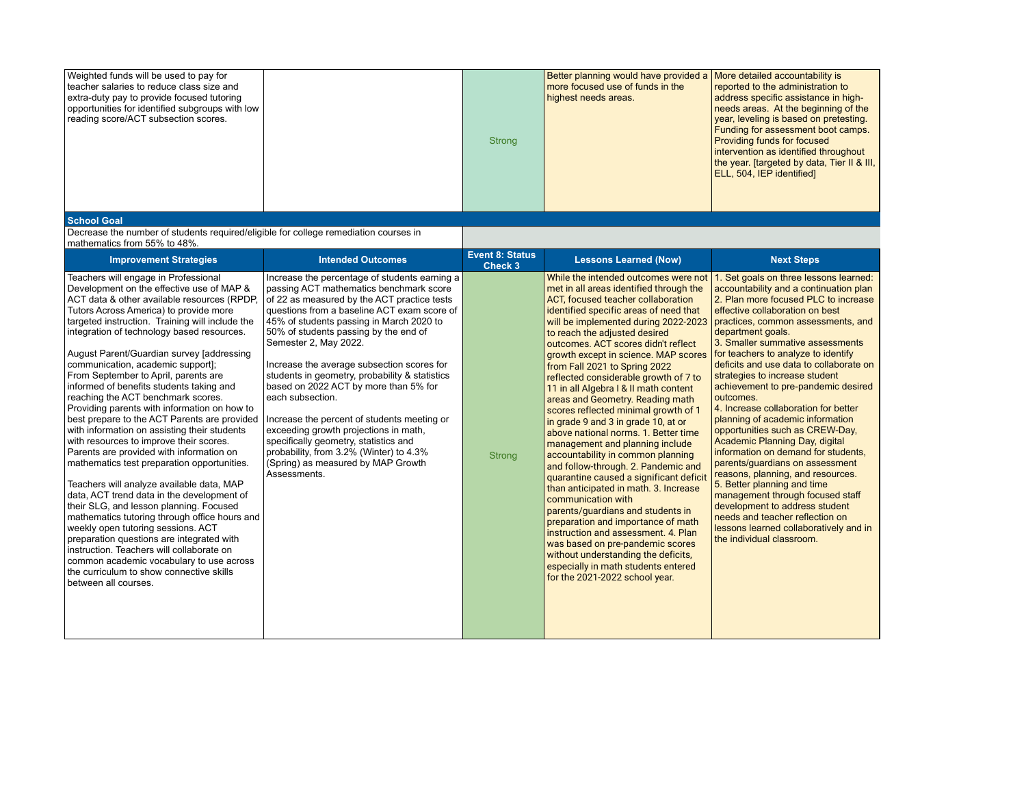| Weighted funds will be used to pay for<br>teacher salaries to reduce class size and<br>extra-duty pay to provide focused tutoring<br>opportunities for identified subgroups with low<br>reading score/ACT subsection scores.                                                                                                                                                                                                                                                                                                                                                                                                                                                                                                                                                                                                                                                                                                                                                                                                                                                                                                                                                                                         |                                                                                                                                                                                                                                                                                                                                                                                                                                                                                                                                                                                                                                                                                                     | <b>Strong</b>                            | Better planning would have provided a<br>more focused use of funds in the<br>highest needs areas.                                                                                                                                                                                                                                                                                                                                                                                                                                                                                                                                                                                                                                                                                                                                                                                                                                                                                                                                                                                                    | More detailed accountability is<br>reported to the administration to<br>address specific assistance in high-<br>needs areas. At the beginning of the<br>year, leveling is based on pretesting.<br>Funding for assessment boot camps.<br>Providing funds for focused<br>intervention as identified throughout<br>the year. [targeted by data, Tier II & III,<br>ELL, 504, IEP identified]                                                                                                                                                                                                                                                                                                                                                                                                                                                                                                                                 |
|----------------------------------------------------------------------------------------------------------------------------------------------------------------------------------------------------------------------------------------------------------------------------------------------------------------------------------------------------------------------------------------------------------------------------------------------------------------------------------------------------------------------------------------------------------------------------------------------------------------------------------------------------------------------------------------------------------------------------------------------------------------------------------------------------------------------------------------------------------------------------------------------------------------------------------------------------------------------------------------------------------------------------------------------------------------------------------------------------------------------------------------------------------------------------------------------------------------------|-----------------------------------------------------------------------------------------------------------------------------------------------------------------------------------------------------------------------------------------------------------------------------------------------------------------------------------------------------------------------------------------------------------------------------------------------------------------------------------------------------------------------------------------------------------------------------------------------------------------------------------------------------------------------------------------------------|------------------------------------------|------------------------------------------------------------------------------------------------------------------------------------------------------------------------------------------------------------------------------------------------------------------------------------------------------------------------------------------------------------------------------------------------------------------------------------------------------------------------------------------------------------------------------------------------------------------------------------------------------------------------------------------------------------------------------------------------------------------------------------------------------------------------------------------------------------------------------------------------------------------------------------------------------------------------------------------------------------------------------------------------------------------------------------------------------------------------------------------------------|--------------------------------------------------------------------------------------------------------------------------------------------------------------------------------------------------------------------------------------------------------------------------------------------------------------------------------------------------------------------------------------------------------------------------------------------------------------------------------------------------------------------------------------------------------------------------------------------------------------------------------------------------------------------------------------------------------------------------------------------------------------------------------------------------------------------------------------------------------------------------------------------------------------------------|
| <b>School Goal</b><br>Decrease the number of students required/eligible for college remediation courses in                                                                                                                                                                                                                                                                                                                                                                                                                                                                                                                                                                                                                                                                                                                                                                                                                                                                                                                                                                                                                                                                                                           |                                                                                                                                                                                                                                                                                                                                                                                                                                                                                                                                                                                                                                                                                                     |                                          |                                                                                                                                                                                                                                                                                                                                                                                                                                                                                                                                                                                                                                                                                                                                                                                                                                                                                                                                                                                                                                                                                                      |                                                                                                                                                                                                                                                                                                                                                                                                                                                                                                                                                                                                                                                                                                                                                                                                                                                                                                                          |
| mathematics from 55% to 48%.                                                                                                                                                                                                                                                                                                                                                                                                                                                                                                                                                                                                                                                                                                                                                                                                                                                                                                                                                                                                                                                                                                                                                                                         |                                                                                                                                                                                                                                                                                                                                                                                                                                                                                                                                                                                                                                                                                                     |                                          |                                                                                                                                                                                                                                                                                                                                                                                                                                                                                                                                                                                                                                                                                                                                                                                                                                                                                                                                                                                                                                                                                                      |                                                                                                                                                                                                                                                                                                                                                                                                                                                                                                                                                                                                                                                                                                                                                                                                                                                                                                                          |
| <b>Improvement Strategies</b>                                                                                                                                                                                                                                                                                                                                                                                                                                                                                                                                                                                                                                                                                                                                                                                                                                                                                                                                                                                                                                                                                                                                                                                        | <b>Intended Outcomes</b>                                                                                                                                                                                                                                                                                                                                                                                                                                                                                                                                                                                                                                                                            | <b>Event 8: Status</b><br><b>Check 3</b> | <b>Lessons Learned (Now)</b>                                                                                                                                                                                                                                                                                                                                                                                                                                                                                                                                                                                                                                                                                                                                                                                                                                                                                                                                                                                                                                                                         | <b>Next Steps</b>                                                                                                                                                                                                                                                                                                                                                                                                                                                                                                                                                                                                                                                                                                                                                                                                                                                                                                        |
| Teachers will engage in Professional<br>Development on the effective use of MAP &<br>ACT data & other available resources (RPDP,<br>Tutors Across America) to provide more<br>targeted instruction. Training will include the<br>integration of technology based resources.<br>August Parent/Guardian survey [addressing<br>communication, academic support];<br>From September to April, parents are<br>informed of benefits students taking and<br>reaching the ACT benchmark scores.<br>Providing parents with information on how to<br>best prepare to the ACT Parents are provided<br>with information on assisting their students<br>with resources to improve their scores.<br>Parents are provided with information on<br>mathematics test preparation opportunities.<br>Teachers will analyze available data, MAP<br>data, ACT trend data in the development of<br>their SLG, and lesson planning. Focused<br>mathematics tutoring through office hours and<br>weekly open tutoring sessions. ACT<br>preparation questions are integrated with<br>instruction. Teachers will collaborate on<br>common academic vocabulary to use across<br>the curriculum to show connective skills<br>between all courses. | Increase the percentage of students earning a<br>passing ACT mathematics benchmark score<br>of 22 as measured by the ACT practice tests<br>questions from a baseline ACT exam score of<br>45% of students passing in March 2020 to<br>50% of students passing by the end of<br>Semester 2, May 2022.<br>Increase the average subsection scores for<br>students in geometry, probability & statistics<br>based on 2022 ACT by more than 5% for<br>each subsection.<br>Increase the percent of students meeting or<br>exceeding growth projections in math,<br>specifically geometry, statistics and<br>probability, from 3.2% (Winter) to 4.3%<br>(Spring) as measured by MAP Growth<br>Assessments. | Strong                                   | While the intended outcomes were not<br>met in all areas identified through the<br>ACT, focused teacher collaboration<br>identified specific areas of need that<br>will be implemented during 2022-2023<br>to reach the adjusted desired<br>outcomes. ACT scores didn't reflect<br>growth except in science. MAP scores<br>from Fall 2021 to Spring 2022<br>reflected considerable growth of 7 to<br>11 in all Algebra I & II math content<br>areas and Geometry. Reading math<br>scores reflected minimal growth of 1<br>in grade 9 and 3 in grade 10, at or<br>above national norms. 1. Better time<br>management and planning include<br>accountability in common planning<br>and follow-through. 2. Pandemic and<br>quarantine caused a significant deficit<br>than anticipated in math. 3. Increase<br>communication with<br>parents/guardians and students in<br>preparation and importance of math<br>instruction and assessment. 4. Plan<br>was based on pre-pandemic scores<br>without understanding the deficits,<br>especially in math students entered<br>for the 2021-2022 school year. | 1. Set goals on three lessons learned:<br>accountability and a continuation plan<br>2. Plan more focused PLC to increase<br>effective collaboration on best<br>practices, common assessments, and<br>department goals.<br>3. Smaller summative assessments<br>for teachers to analyze to identify<br>deficits and use data to collaborate on<br>strategies to increase student<br>achievement to pre-pandemic desired<br>outcomes.<br>4. Increase collaboration for better<br>planning of academic information<br>opportunities such as CREW-Day,<br><b>Academic Planning Day, digital</b><br>information on demand for students,<br>parents/quardians on assessment<br>reasons, planning, and resources.<br>5. Better planning and time<br>management through focused staff<br>development to address student<br>needs and teacher reflection on<br>lessons learned collaboratively and in<br>the individual classroom. |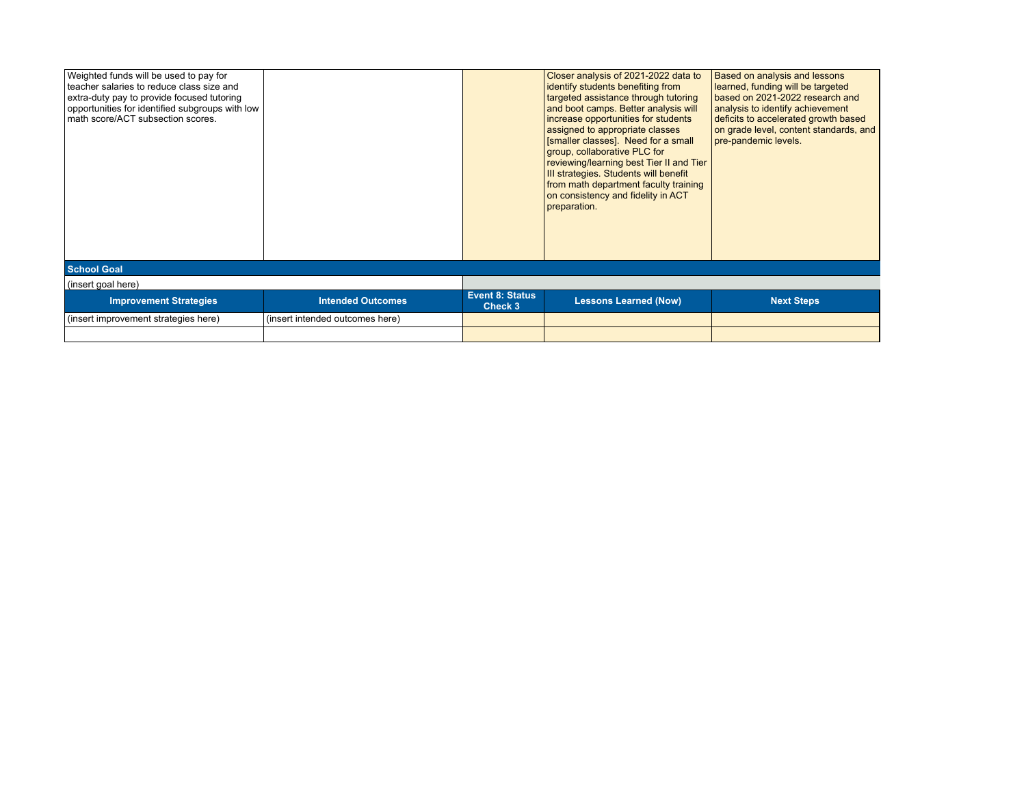| Weighted funds will be used to pay for          |                                 |                                   | Closer analysis of 2021-2022 data to                                | Based on analysis and lessons          |  |  |
|-------------------------------------------------|---------------------------------|-----------------------------------|---------------------------------------------------------------------|----------------------------------------|--|--|
| I teacher salaries to reduce class size and     |                                 |                                   | identify students benefiting from                                   | learned, funding will be targeted      |  |  |
| extra-duty pay to provide focused tutoring      |                                 |                                   | targeted assistance through tutoring                                | based on 2021-2022 research and        |  |  |
| opportunities for identified subgroups with low |                                 |                                   | and boot camps. Better analysis will                                | analysis to identify achievement       |  |  |
| math score/ACT subsection scores.               |                                 |                                   | increase opportunities for students                                 | deficits to accelerated growth based   |  |  |
|                                                 |                                 |                                   | assigned to appropriate classes                                     | on grade level, content standards, and |  |  |
|                                                 |                                 |                                   | [smaller classes]. Need for a small<br>group, collaborative PLC for | pre-pandemic levels.                   |  |  |
|                                                 |                                 |                                   | reviewing/learning best Tier II and Tier                            |                                        |  |  |
|                                                 |                                 |                                   | III strategies. Students will benefit                               |                                        |  |  |
|                                                 |                                 |                                   | from math department faculty training                               |                                        |  |  |
|                                                 |                                 |                                   | on consistency and fidelity in ACT                                  |                                        |  |  |
|                                                 |                                 |                                   | preparation.                                                        |                                        |  |  |
|                                                 |                                 |                                   |                                                                     |                                        |  |  |
|                                                 |                                 |                                   |                                                                     |                                        |  |  |
|                                                 |                                 |                                   |                                                                     |                                        |  |  |
|                                                 |                                 |                                   |                                                                     |                                        |  |  |
| <b>School Goal</b>                              |                                 |                                   |                                                                     |                                        |  |  |
| (insert goal here)                              |                                 |                                   |                                                                     |                                        |  |  |
| <b>Improvement Strategies</b>                   | <b>Intended Outcomes</b>        | <b>Event 8: Status</b><br>Check 3 | <b>Lessons Learned (Now)</b>                                        | <b>Next Steps</b>                      |  |  |
| (insert improvement strategies here)            | (insert intended outcomes here) |                                   |                                                                     |                                        |  |  |
|                                                 |                                 |                                   |                                                                     |                                        |  |  |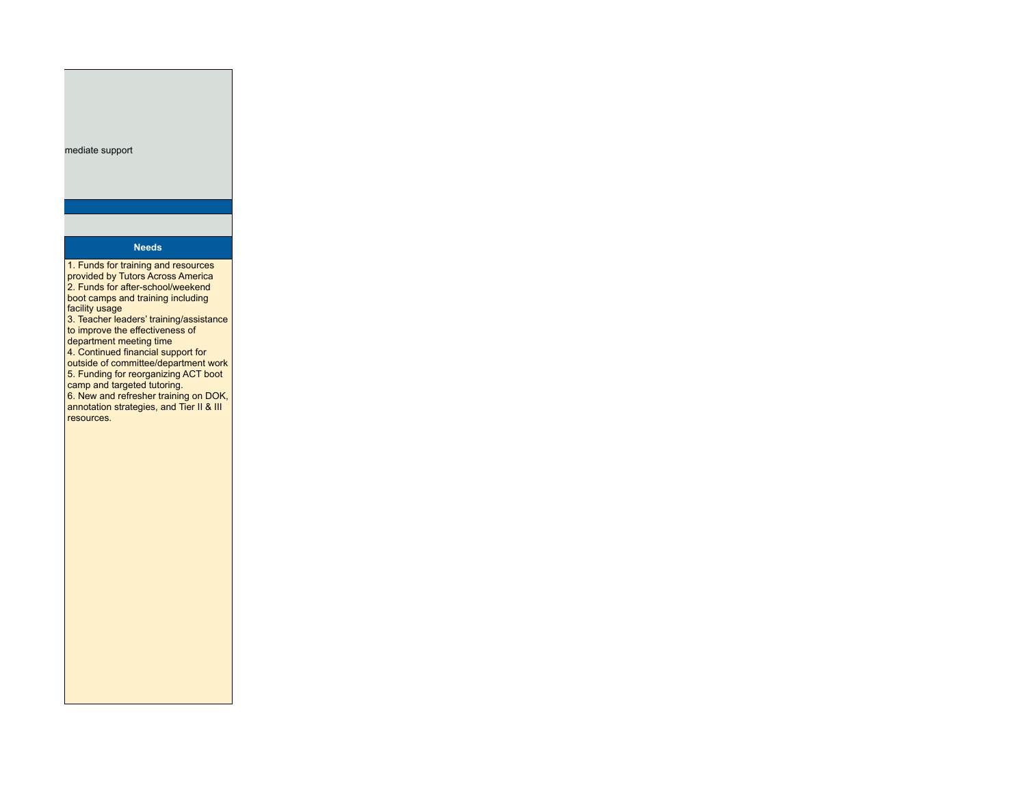#### mediate support

# **Needs**

1. Funds for training and resources provided by Tutors Across America 2. Funds for after-school/weekend boot camps and training including facility usage 3. Teacher leaders' training/assistance to improve the effectiveness of department meeting time 4. Continued financial support for outside of committee/department work 5. Funding for reorganizing ACT boot camp and targeted tutoring. 6. New and refresher training on DOK, annotation strategies, and Tier II & III resources.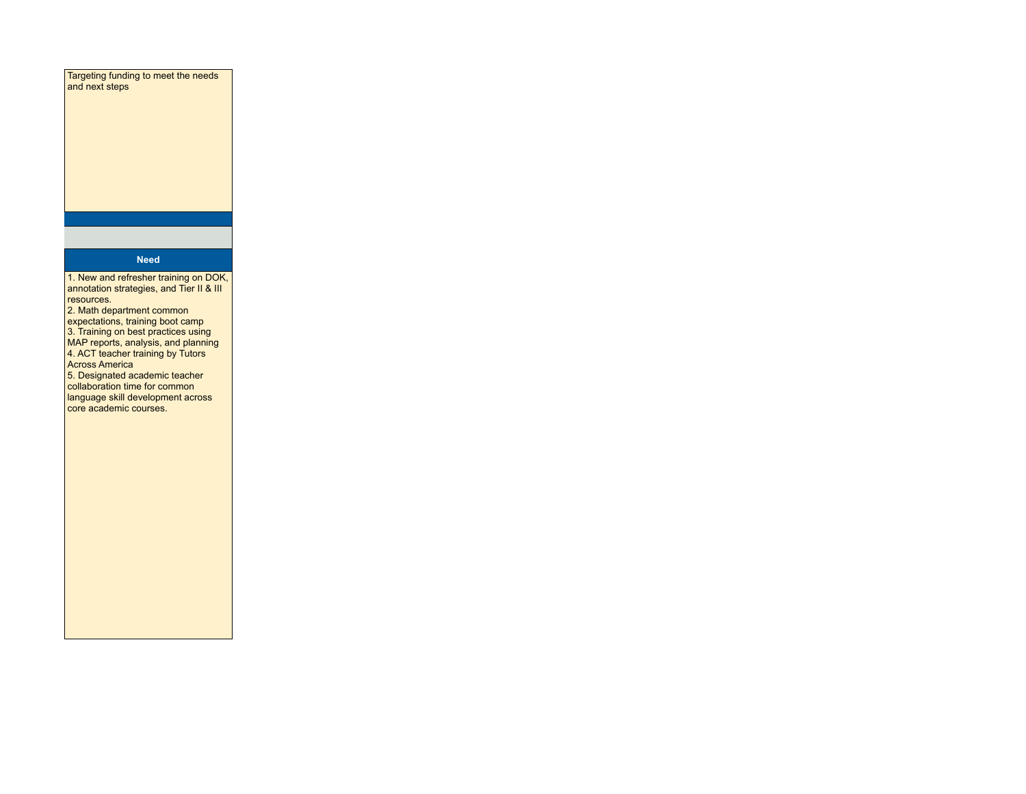Targeting funding to meet the needs and next steps

# **Need**

1. New and refresher training on DOK, annotation strategies, and Tier II & III resources.

2. Math department common expectations, training boot camp 3. Training on best practices using MAP reports, analysis, and planning 4. ACT teacher training by Tutors Across America

5. Designated academic teacher collaboration time for common language skill development across core academic courses.